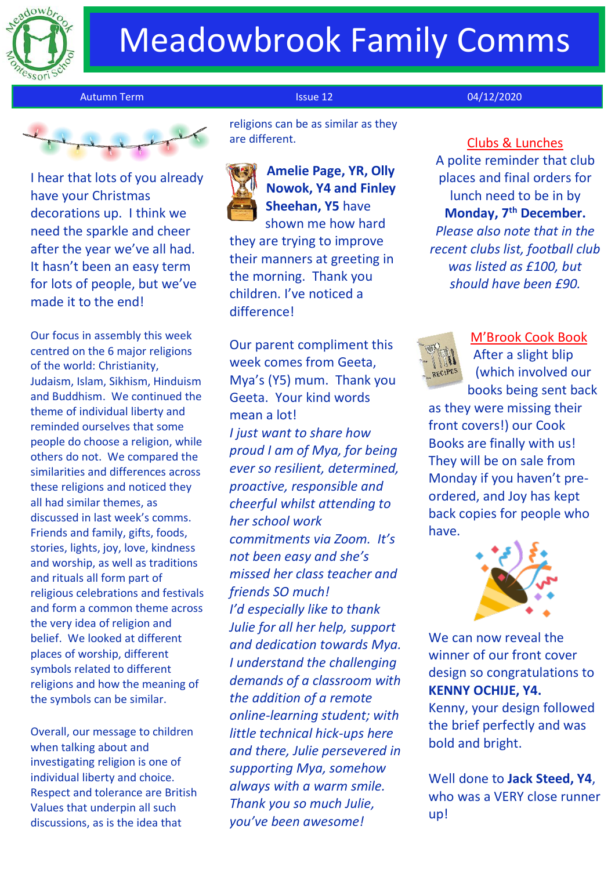

# Meadowbrook Family Comms

Autumn Term **Issue 12** O4/12/2020



I hear that lots of you already have your Christmas decorations up. I think we need the sparkle and cheer after the year we've all had. It hasn't been an easy term for lots of people, but we've made it to the end!

Our focus in assembly this week centred on the 6 major religions of the world: Christianity, Judaism, Islam, Sikhism, Hinduism and Buddhism. We continued the theme of individual liberty and reminded ourselves that some people do choose a religion, while others do not. We compared the similarities and differences across these religions and noticed they all had similar themes, as discussed in last week's comms. Friends and family, gifts, foods, stories, lights, joy, love, kindness and worship, as well as traditions and rituals all form part of religious celebrations and festivals and form a common theme across the very idea of religion and belief. We looked at different places of worship, different symbols related to different religions and how the meaning of the symbols can be similar.

Overall, our message to children when talking about and investigating religion is one of individual liberty and choice. Respect and tolerance are British Values that underpin all such discussions, as is the idea that

 religions can be as similar as they are different.

**Amelie Page, YR, Olly Nowok, Y4 and Finley Sheehan, Y5** have shown me how hard they are trying to improve their manners at greeting in the morning. Thank you children. I've noticed a difference!

Our parent compliment this week comes from Geeta, Mya's (Y5) mum. Thank you Geeta. Your kind words mean a lot! *I just want to share how proud I am of Mya, for being ever so resilient, determined, proactive, responsible and cheerful whilst attending to her school work commitments via Zoom. It's not been easy and she's missed her class teacher and friends SO much! I'd especially like to thank Julie for all her help, support and dedication towards Mya. I understand the challenging demands of a classroom with the addition of a remote online-learning student; with little technical hick-ups here and there, Julie persevered in supporting Mya, somehow always with a warm smile. Thank you so much Julie, you've been awesome!*

Clubs & Lunches A polite reminder that club places and final orders for lunch need to be in by **Monday, 7th December.** *Please also note that in the recent clubs list, football club was listed as £100, but should have been £90.*



M'Brook Cook Book After a slight blip (which involved our

books being sent back as they were missing their front covers!) our Cook Books are finally with us! They will be on sale from Monday if you haven't preordered, and Joy has kept back copies for people who have.



We can now reveal the winner of our front cover design so congratulations to **KENNY OCHIJE, Y4.** Kenny, your design followed

the brief perfectly and was bold and bright.

Well done to **Jack Steed, Y4**, who was a VERY close runner up!